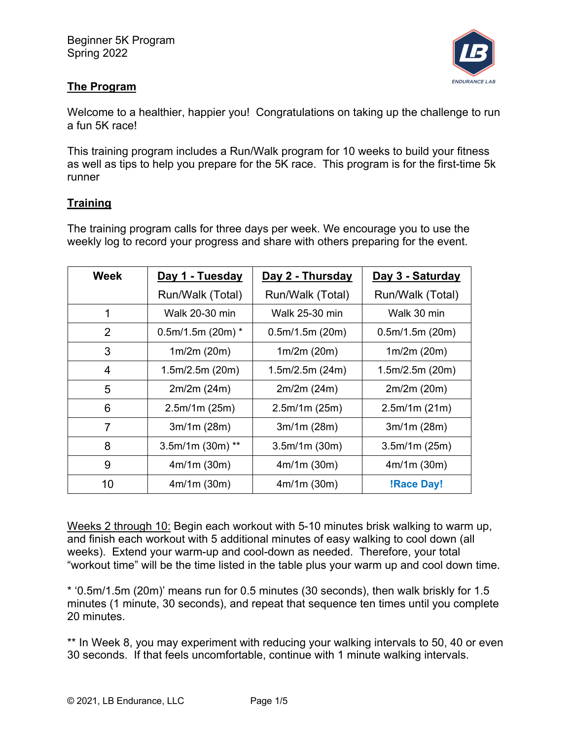

# **The Program**

Welcome to a healthier, happier you! Congratulations on taking up the challenge to run a fun 5K race!

This training program includes a Run/Walk program for 10 weeks to build your fitness as well as tips to help you prepare for the 5K race. This program is for the first-time 5k runner

# **Training**

The training program calls for three days per week. We encourage you to use the weekly log to record your progress and share with others preparing for the event.

| Week           | Day 1 - Tuesday     | Day 2 - Thursday | Day 3 - Saturday  |
|----------------|---------------------|------------------|-------------------|
|                | Run/Walk (Total)    | Run/Walk (Total) | Run/Walk (Total)  |
| 1              | Walk 20-30 min      | Walk 25-30 min   | Walk 30 min       |
| 2              | $0.5m/1.5m$ (20m) * | 0.5m/1.5m(20m)   | 0.5m/1.5m(20m)    |
| 3              | 1m/2m(20m)          | 1m/2m(20m)       | 1m/2m(20m)        |
| 4              | 1.5m/2.5m(20m)      | 1.5m/2.5m(24m)   | 1.5m/2.5m(20m)    |
| 5              | 2m/2m(24m)          | 2m/2m (24m)      | 2m/2m(20m)        |
| 6              | 2.5m/1m(25m)        | 2.5m/1m(25m)     | 2.5m/1m(21m)      |
| $\overline{7}$ | 3m/1m (28m)         | 3m/1m (28m)      | 3m/1m (28m)       |
| 8              | $3.5m/1m$ (30m) **  | 3.5m/1m(30m)     | 3.5m/1m(25m)      |
| 9              | 4m/1m(30m)          | 4m/1m(30m)       | 4m/1m(30m)        |
| 10             | 4m/1m(30m)          | 4m/1m(30m)       | <b>!Race Day!</b> |

Weeks 2 through 10: Begin each workout with 5-10 minutes brisk walking to warm up, and finish each workout with 5 additional minutes of easy walking to cool down (all weeks). Extend your warm-up and cool-down as needed. Therefore, your total "workout time" will be the time listed in the table plus your warm up and cool down time.

\* '0.5m/1.5m (20m)' means run for 0.5 minutes (30 seconds), then walk briskly for 1.5 minutes (1 minute, 30 seconds), and repeat that sequence ten times until you complete 20 minutes.

\*\* In Week 8, you may experiment with reducing your walking intervals to 50, 40 or even 30 seconds. If that feels uncomfortable, continue with 1 minute walking intervals.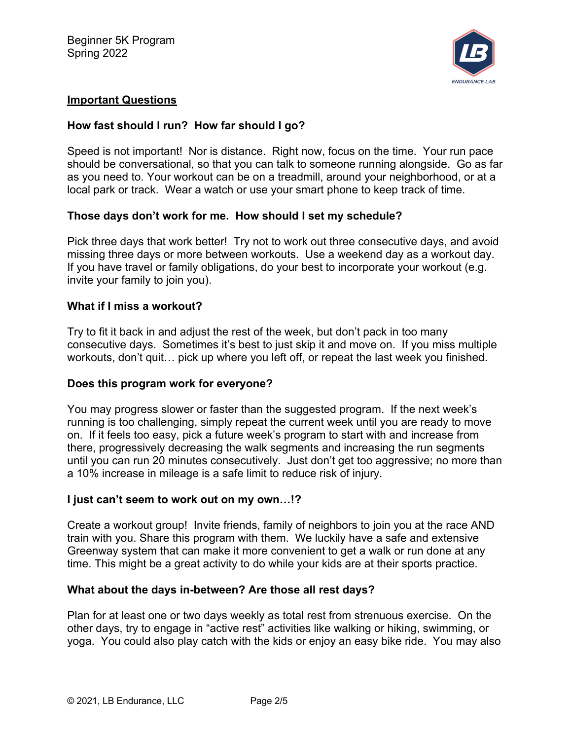

## **Important Questions**

## **How fast should I run? How far should I go?**

Speed is not important! Nor is distance. Right now, focus on the time. Your run pace should be conversational, so that you can talk to someone running alongside. Go as far as you need to. Your workout can be on a treadmill, around your neighborhood, or at a local park or track. Wear a watch or use your smart phone to keep track of time.

## **Those days don't work for me. How should I set my schedule?**

Pick three days that work better! Try not to work out three consecutive days, and avoid missing three days or more between workouts. Use a weekend day as a workout day. If you have travel or family obligations, do your best to incorporate your workout (e.g. invite your family to join you).

## **What if I miss a workout?**

Try to fit it back in and adjust the rest of the week, but don't pack in too many consecutive days. Sometimes it's best to just skip it and move on. If you miss multiple workouts, don't quit… pick up where you left off, or repeat the last week you finished.

#### **Does this program work for everyone?**

You may progress slower or faster than the suggested program. If the next week's running is too challenging, simply repeat the current week until you are ready to move on. If it feels too easy, pick a future week's program to start with and increase from there, progressively decreasing the walk segments and increasing the run segments until you can run 20 minutes consecutively. Just don't get too aggressive; no more than a 10% increase in mileage is a safe limit to reduce risk of injury.

## **I just can't seem to work out on my own…!?**

Create a workout group! Invite friends, family of neighbors to join you at the race AND train with you. Share this program with them. We luckily have a safe and extensive Greenway system that can make it more convenient to get a walk or run done at any time. This might be a great activity to do while your kids are at their sports practice.

#### **What about the days in-between? Are those all rest days?**

Plan for at least one or two days weekly as total rest from strenuous exercise. On the other days, try to engage in "active rest" activities like walking or hiking, swimming, or yoga. You could also play catch with the kids or enjoy an easy bike ride. You may also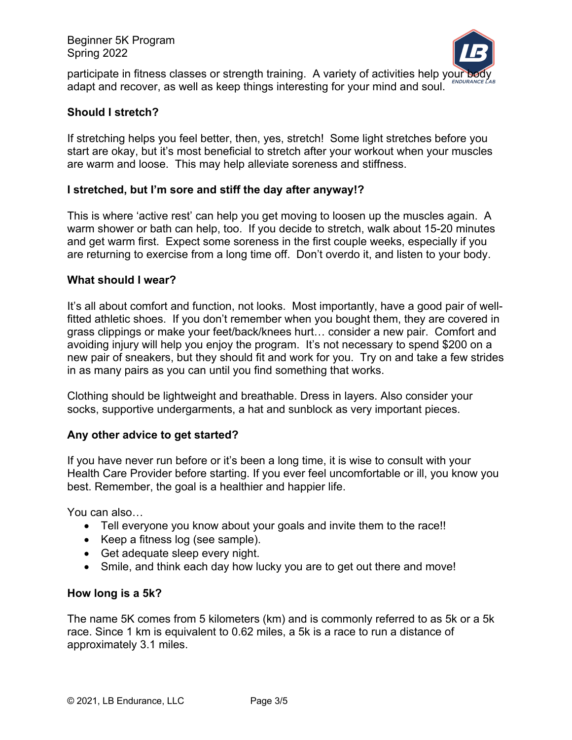

participate in fitness classes or strength training. A variety of activities help your body adapt and recover, as well as keep things interesting for your mind and soul.

## **Should I stretch?**

If stretching helps you feel better, then, yes, stretch! Some light stretches before you start are okay, but it's most beneficial to stretch after your workout when your muscles are warm and loose. This may help alleviate soreness and stiffness.

### **I stretched, but I'm sore and stiff the day after anyway!?**

This is where 'active rest' can help you get moving to loosen up the muscles again. A warm shower or bath can help, too. If you decide to stretch, walk about 15-20 minutes and get warm first. Expect some soreness in the first couple weeks, especially if you are returning to exercise from a long time off. Don't overdo it, and listen to your body.

#### **What should I wear?**

It's all about comfort and function, not looks. Most importantly, have a good pair of wellfitted athletic shoes. If you don't remember when you bought them, they are covered in grass clippings or make your feet/back/knees hurt… consider a new pair. Comfort and avoiding injury will help you enjoy the program. It's not necessary to spend \$200 on a new pair of sneakers, but they should fit and work for you. Try on and take a few strides in as many pairs as you can until you find something that works.

Clothing should be lightweight and breathable. Dress in layers. Also consider your socks, supportive undergarments, a hat and sunblock as very important pieces.

## **Any other advice to get started?**

If you have never run before or it's been a long time, it is wise to consult with your Health Care Provider before starting. If you ever feel uncomfortable or ill, you know you best. Remember, the goal is a healthier and happier life.

You can also…

- Tell everyone you know about your goals and invite them to the race!!
- Keep a fitness log (see sample).
- Get adequate sleep every night.
- Smile, and think each day how lucky you are to get out there and move!

#### **How long is a 5k?**

The name 5K comes from 5 kilometers (km) and is commonly referred to as 5k or a 5k race. Since 1 km is equivalent to 0.62 miles, a 5k is a race to run a distance of approximately 3.1 miles.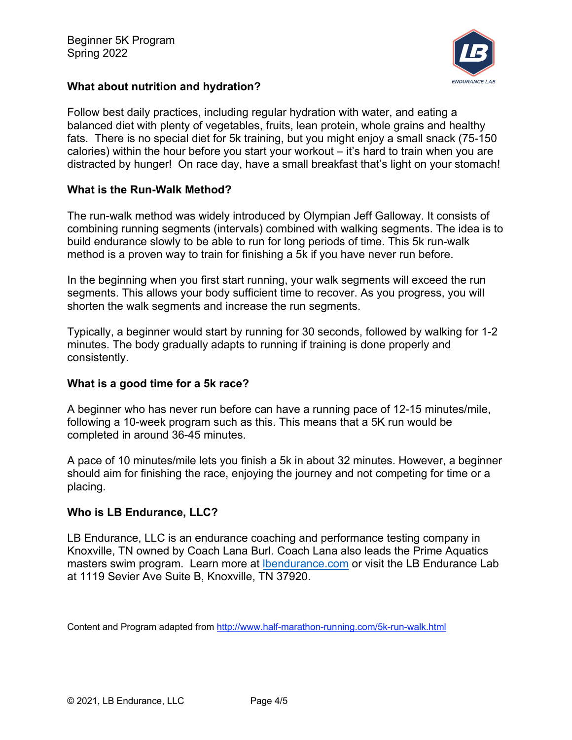

## **What about nutrition and hydration?**

Follow best daily practices, including regular hydration with water, and eating a balanced diet with plenty of vegetables, fruits, lean protein, whole grains and healthy fats. There is no special diet for 5k training, but you might enjoy a small snack (75-150 calories) within the hour before you start your workout – it's hard to train when you are distracted by hunger! On race day, have a small breakfast that's light on your stomach!

## **What is the Run-Walk Method?**

The run-walk method was widely introduced by Olympian Jeff Galloway. It consists of combining running segments (intervals) combined with walking segments. The idea is to build endurance slowly to be able to run for long periods of time. This 5k run-walk method is a proven way to train for finishing a 5k if you have never run before.

In the beginning when you first start running, your walk segments will exceed the run segments. This allows your body sufficient time to recover. As you progress, you will shorten the walk segments and increase the run segments.

Typically, a beginner would start by running for 30 seconds, followed by walking for 1-2 minutes. The body gradually adapts to running if training is done properly and consistently.

#### **What is a good time for a 5k race?**

A beginner who has never run before can have a running pace of 12-15 minutes/mile, following a 10-week program such as this. This means that a 5K run would be completed in around 36-45 minutes.

A pace of 10 minutes/mile lets you finish a 5k in about 32 minutes. However, a beginner should aim for finishing the race, enjoying the journey and not competing for time or a placing.

## **Who is LB Endurance, LLC?**

LB Endurance, LLC is an endurance coaching and performance testing company in Knoxville, TN owned by Coach Lana Burl. Coach Lana also leads the Prime Aquatics masters swim program. Learn more at lbendurance.com or visit the LB Endurance Lab at 1119 Sevier Ave Suite B, Knoxville, TN 37920.

Content and Program adapted from http://www.half-marathon-running.com/5k-run-walk.html